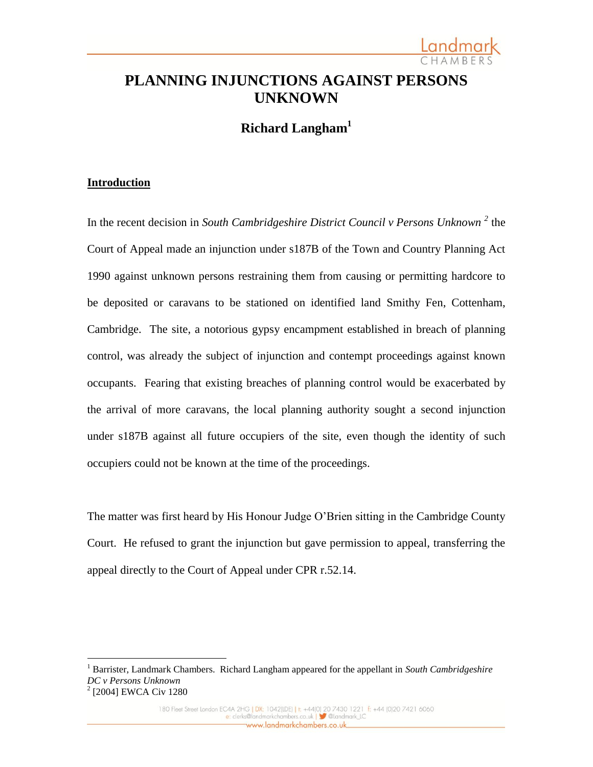# **PLANNING INJUNCTIONS AGAINST PERSONS UNKNOWN**

**Richard Langham<sup>1</sup>**

# **Introduction**

 $\overline{a}$ 

In the recent decision in *South Cambridgeshire District Council v Persons Unknown <sup>2</sup>* the Court of Appeal made an injunction under s187B of the Town and Country Planning Act 1990 against unknown persons restraining them from causing or permitting hardcore to be deposited or caravans to be stationed on identified land Smithy Fen, Cottenham, Cambridge. The site, a notorious gypsy encampment established in breach of planning control, was already the subject of injunction and contempt proceedings against known occupants. Fearing that existing breaches of planning control would be exacerbated by the arrival of more caravans, the local planning authority sought a second injunction under s187B against all future occupiers of the site, even though the identity of such occupiers could not be known at the time of the proceedings.

The matter was first heard by His Honour Judge O'Brien sitting in the Cambridge County Court. He refused to grant the injunction but gave permission to appeal, transferring the appeal directly to the Court of Appeal under CPR r.52.14.

<sup>1</sup> Barrister, Landmark Chambers. Richard Langham appeared for the appellant in *South Cambridgeshire DC v Persons Unknown* 2 [2004] EWCA Civ 1280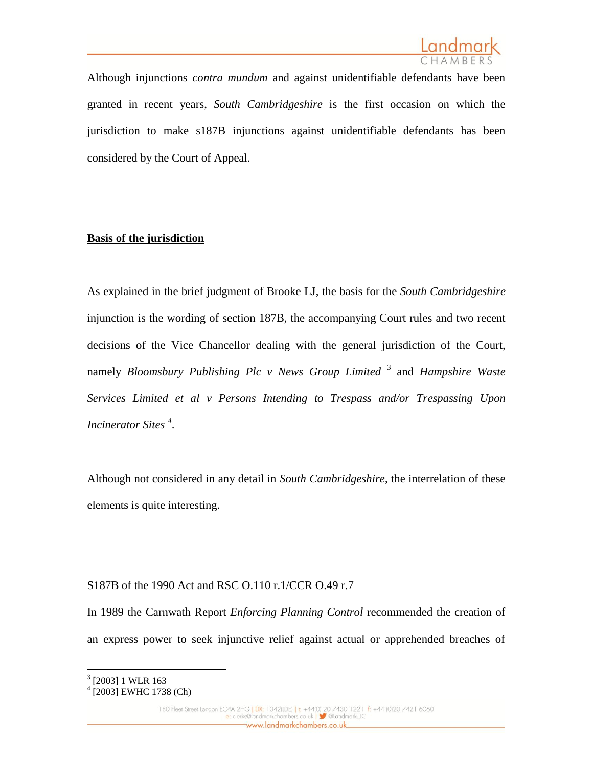Although injunctions *contra mundum* and against unidentifiable defendants have been granted in recent years, *South Cambridgeshire* is the first occasion on which the jurisdiction to make s187B injunctions against unidentifiable defendants has been considered by the Court of Appeal.

# **Basis of the jurisdiction**

As explained in the brief judgment of Brooke LJ, the basis for the *South Cambridgeshire* injunction is the wording of section 187B, the accompanying Court rules and two recent decisions of the Vice Chancellor dealing with the general jurisdiction of the Court, namely *Bloomsbury Publishing Plc v News Group Limited* <sup>3</sup> and *Hampshire Waste Services Limited et al v Persons Intending to Trespass and/or Trespassing Upon Incinerator Sites <sup>4</sup>* .

Although not considered in any detail in *South Cambridgeshire*, the interrelation of these elements is quite interesting.

# S187B of the 1990 Act and RSC O.110 r.1/CCR O.49 r.7

In 1989 the Carnwath Report *Enforcing Planning Control* recommended the creation of an express power to seek injunctive relief against actual or apprehended breaches of

 3 [2003] 1 WLR 163

<sup>4</sup> [2003] EWHC 1738 (Ch)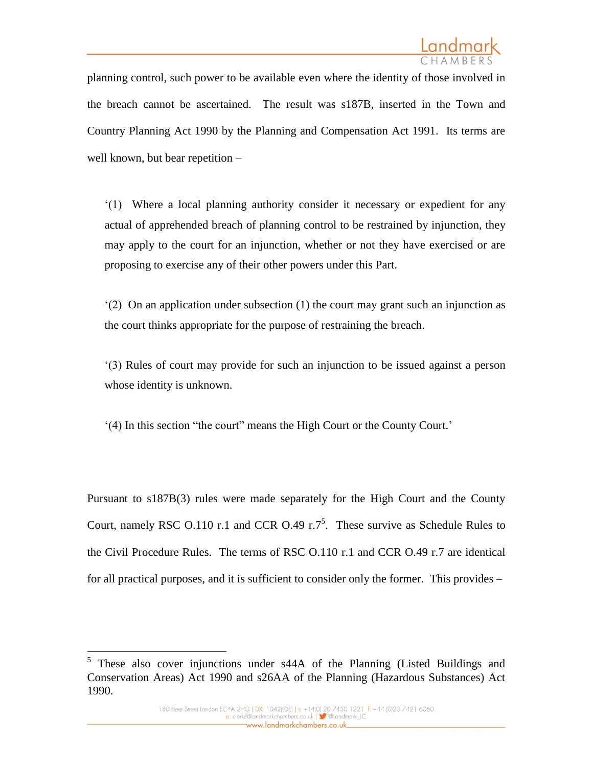planning control, such power to be available even where the identity of those involved in the breach cannot be ascertained. The result was s187B, inserted in the Town and Country Planning Act 1990 by the Planning and Compensation Act 1991. Its terms are well known, but bear repetition –

'(1) Where a local planning authority consider it necessary or expedient for any actual of apprehended breach of planning control to be restrained by injunction, they may apply to the court for an injunction, whether or not they have exercised or are proposing to exercise any of their other powers under this Part.

'(2) On an application under subsection (1) the court may grant such an injunction as the court thinks appropriate for the purpose of restraining the breach.

'(3) Rules of court may provide for such an injunction to be issued against a person whose identity is unknown.

'(4) In this section "the court" means the High Court or the County Court.'

Pursuant to s187B(3) rules were made separately for the High Court and the County Court, namely RSC O.110 r.1 and CCR O.49 r.7<sup>5</sup>. These survive as Schedule Rules to the Civil Procedure Rules. The terms of RSC O.110 r.1 and CCR O.49 r.7 are identical for all practical purposes, and it is sufficient to consider only the former. This provides –

<sup>&</sup>lt;sup>5</sup> These also cover injunctions under s44A of the Planning (Listed Buildings and Conservation Areas) Act 1990 and s26AA of the Planning (Hazardous Substances) Act 1990.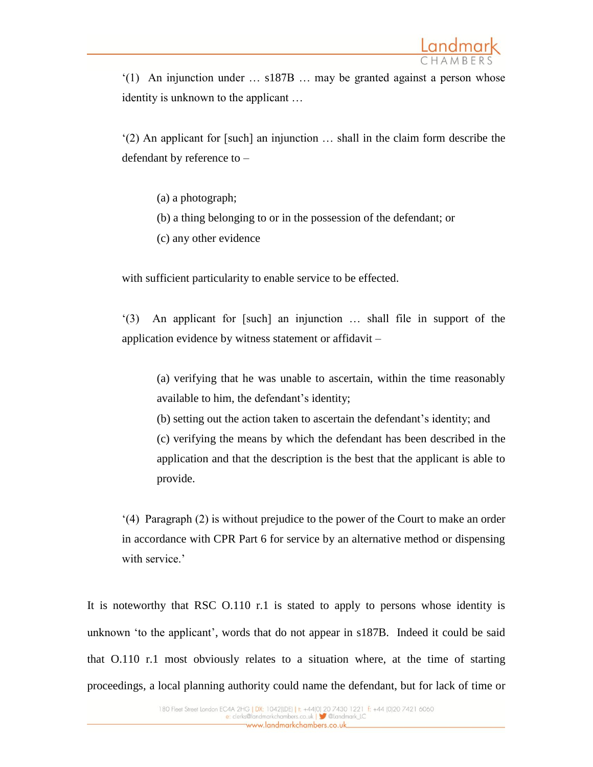'(1) An injunction under … s187B … may be granted against a person whose identity is unknown to the applicant …

'(2) An applicant for [such] an injunction … shall in the claim form describe the defendant by reference to –

- (a) a photograph;
- (b) a thing belonging to or in the possession of the defendant; or
- (c) any other evidence

with sufficient particularity to enable service to be effected.

'(3) An applicant for [such] an injunction … shall file in support of the application evidence by witness statement or affidavit –

(a) verifying that he was unable to ascertain, within the time reasonably available to him, the defendant's identity;

(b) setting out the action taken to ascertain the defendant's identity; and (c) verifying the means by which the defendant has been described in the application and that the description is the best that the applicant is able to provide.

'(4) Paragraph (2) is without prejudice to the power of the Court to make an order in accordance with CPR Part 6 for service by an alternative method or dispensing with service.'

It is noteworthy that RSC O.110 r.1 is stated to apply to persons whose identity is unknown 'to the applicant', words that do not appear in s187B. Indeed it could be said that O.110 r.1 most obviously relates to a situation where, at the time of starting proceedings, a local planning authority could name the defendant, but for lack of time or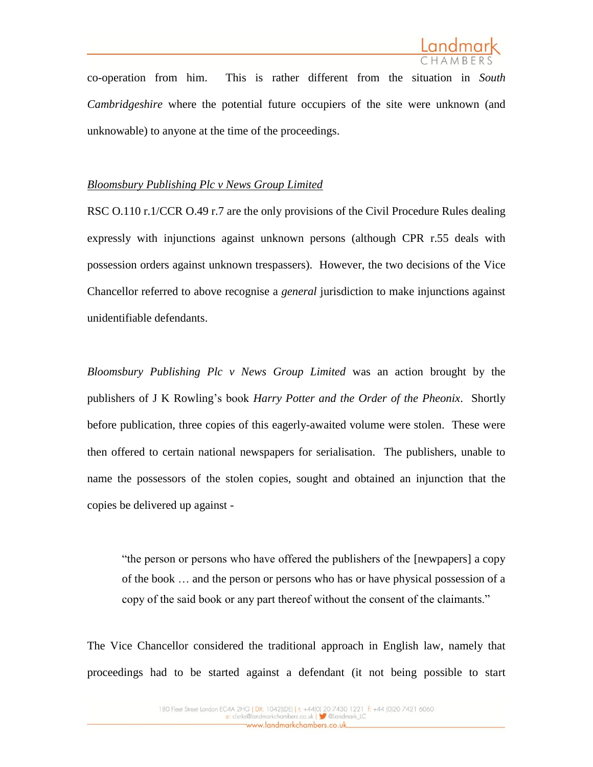

co-operation from him. This is rather different from the situation in *South Cambridgeshire* where the potential future occupiers of the site were unknown (and unknowable) to anyone at the time of the proceedings.

### *Bloomsbury Publishing Plc v News Group Limited*

RSC O.110 r.1/CCR O.49 r.7 are the only provisions of the Civil Procedure Rules dealing expressly with injunctions against unknown persons (although CPR r.55 deals with possession orders against unknown trespassers). However, the two decisions of the Vice Chancellor referred to above recognise a *general* jurisdiction to make injunctions against unidentifiable defendants.

*Bloomsbury Publishing Plc v News Group Limited* was an action brought by the publishers of J K Rowling's book *Harry Potter and the Order of the Pheonix*. Shortly before publication, three copies of this eagerly-awaited volume were stolen. These were then offered to certain national newspapers for serialisation. The publishers, unable to name the possessors of the stolen copies, sought and obtained an injunction that the copies be delivered up against -

"the person or persons who have offered the publishers of the [newpapers] a copy of the book … and the person or persons who has or have physical possession of a copy of the said book or any part thereof without the consent of the claimants."

The Vice Chancellor considered the traditional approach in English law, namely that proceedings had to be started against a defendant (it not being possible to start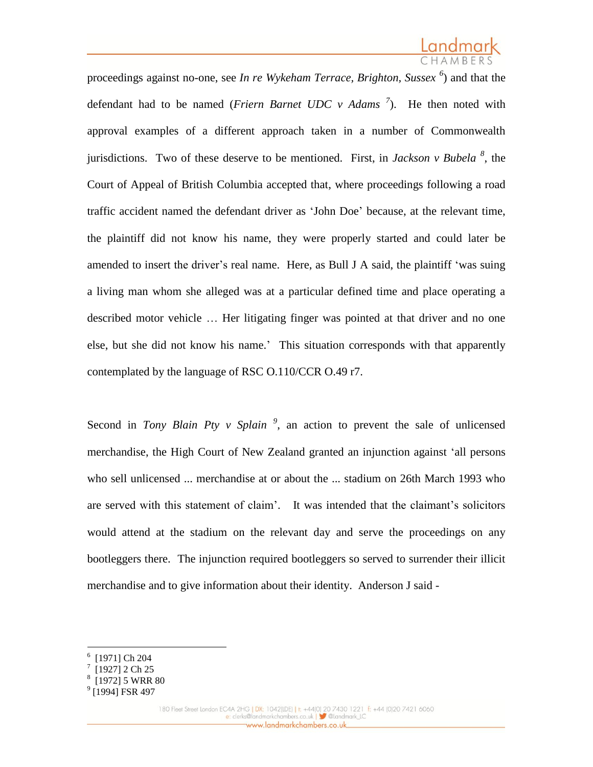proceedings against no-one, see *In re Wykeham Terrace, Brighton, Sussex <sup>6</sup>* ) and that the defendant had to be named (*Friern Barnet UDC v Adams <sup>7</sup>* ). He then noted with approval examples of a different approach taken in a number of Commonwealth jurisdictions. Two of these deserve to be mentioned. First, in *Jackson v Bubela <sup>8</sup>* , the Court of Appeal of British Columbia accepted that, where proceedings following a road traffic accident named the defendant driver as 'John Doe' because, at the relevant time, the plaintiff did not know his name, they were properly started and could later be amended to insert the driver's real name. Here, as Bull J A said, the plaintiff 'was suing a living man whom she alleged was at a particular defined time and place operating a described motor vehicle … Her litigating finger was pointed at that driver and no one else, but she did not know his name.' This situation corresponds with that apparently contemplated by the language of RSC O.110/CCR O.49 r7.

Second in *Tony Blain Pty v Splain*<sup>9</sup>, an action to prevent the sale of unlicensed merchandise, the High Court of New Zealand granted an injunction against 'all persons who sell unlicensed ... merchandise at or about the ... stadium on 26th March 1993 who are served with this statement of claim'. It was intended that the claimant's solicitors would attend at the stadium on the relevant day and serve the proceedings on any bootleggers there. The injunction required bootleggers so served to surrender their illicit merchandise and to give information about their identity. Anderson J said -

<sup>6</sup> [1971] Ch 204

<sup>7</sup> [1927] 2 Ch 25

<sup>8</sup> [1972] 5 WRR 80

<sup>&</sup>lt;sup>9</sup> [1994] FSR 497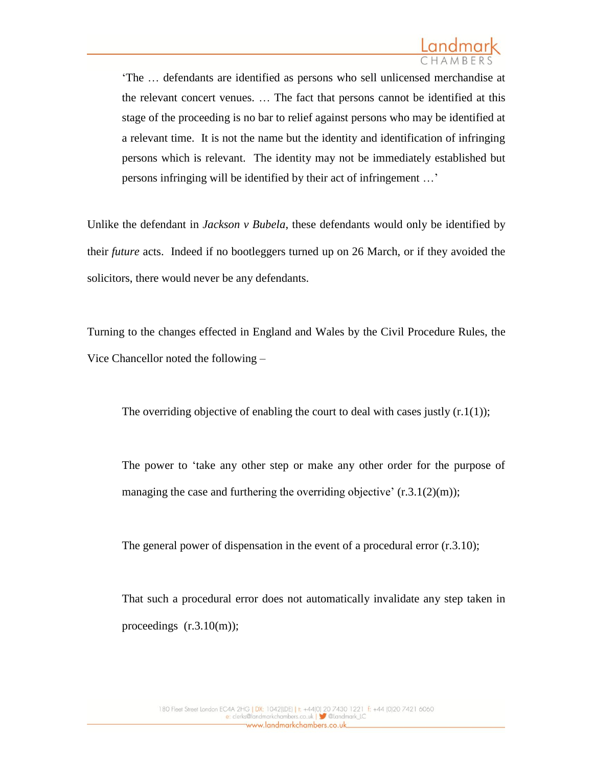'The … defendants are identified as persons who sell unlicensed merchandise at the relevant concert venues. … The fact that persons cannot be identified at this stage of the proceeding is no bar to relief against persons who may be identified at a relevant time. It is not the name but the identity and identification of infringing persons which is relevant. The identity may not be immediately established but persons infringing will be identified by their act of infringement …'

Unlike the defendant in *Jackson v Bubela*, these defendants would only be identified by their *future* acts. Indeed if no bootleggers turned up on 26 March, or if they avoided the solicitors, there would never be any defendants.

Turning to the changes effected in England and Wales by the Civil Procedure Rules, the Vice Chancellor noted the following –

The overriding objective of enabling the court to deal with cases justly  $(r \cdot 1(1))$ ;

The power to 'take any other step or make any other order for the purpose of managing the case and furthering the overriding objective'  $(r.3.1(2)(m))$ ;

The general power of dispensation in the event of a procedural error  $(r.3.10)$ ;

That such a procedural error does not automatically invalidate any step taken in proceedings  $(r.3.10(m));$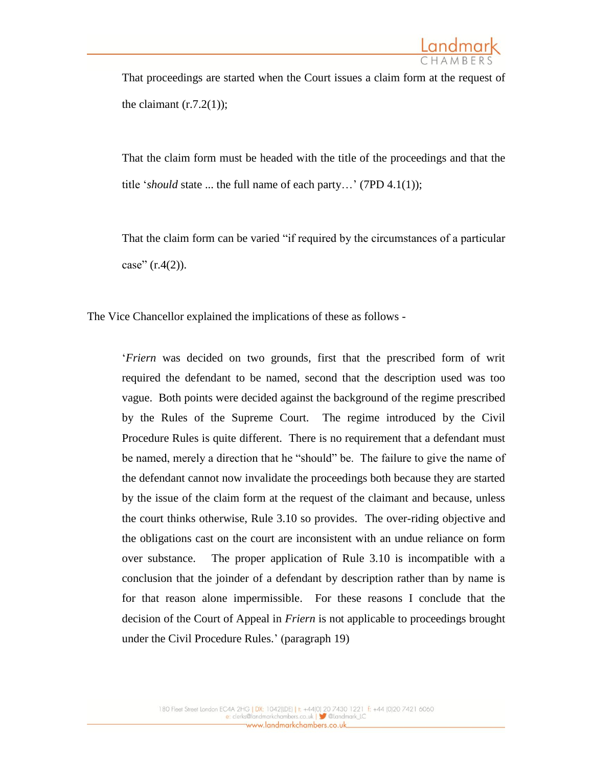That proceedings are started when the Court issues a claim form at the request of the claimant  $(r.7.2(1))$ ;

That the claim form must be headed with the title of the proceedings and that the title '*should* state ... the full name of each party…' (7PD 4.1(1));

That the claim form can be varied "if required by the circumstances of a particular case"  $(r.4(2))$ .

The Vice Chancellor explained the implications of these as follows -

'*Friern* was decided on two grounds, first that the prescribed form of writ required the defendant to be named, second that the description used was too vague. Both points were decided against the background of the regime prescribed by the Rules of the Supreme Court. The regime introduced by the Civil Procedure Rules is quite different. There is no requirement that a defendant must be named, merely a direction that he "should" be. The failure to give the name of the defendant cannot now invalidate the proceedings both because they are started by the issue of the claim form at the request of the claimant and because, unless the court thinks otherwise, Rule 3.10 so provides. The over-riding objective and the obligations cast on the court are inconsistent with an undue reliance on form over substance. The proper application of Rule 3.10 is incompatible with a conclusion that the joinder of a defendant by description rather than by name is for that reason alone impermissible. For these reasons I conclude that the decision of the Court of Appeal in *Friern* is not applicable to proceedings brought under the Civil Procedure Rules.' (paragraph 19)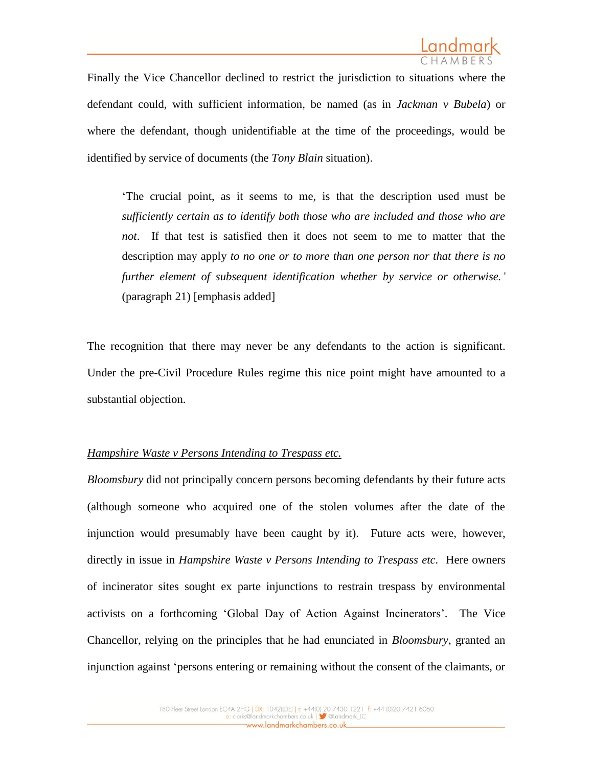

Finally the Vice Chancellor declined to restrict the jurisdiction to situations where the defendant could, with sufficient information, be named (as in *Jackman v Bubela*) or where the defendant, though unidentifiable at the time of the proceedings, would be identified by service of documents (the *Tony Blain* situation).

'The crucial point, as it seems to me, is that the description used must be *sufficiently certain as to identify both those who are included and those who are not*. If that test is satisfied then it does not seem to me to matter that the description may apply *to no one or to more than one person nor that there is no further element of subsequent identification whether by service or otherwise.'* (paragraph 21) [emphasis added]

The recognition that there may never be any defendants to the action is significant. Under the pre-Civil Procedure Rules regime this nice point might have amounted to a substantial objection.

### *Hampshire Waste v Persons Intending to Trespass etc.*

*Bloomsbury* did not principally concern persons becoming defendants by their future acts (although someone who acquired one of the stolen volumes after the date of the injunction would presumably have been caught by it). Future acts were, however, directly in issue in *Hampshire Waste v Persons Intending to Trespass etc.* Here owners of incinerator sites sought ex parte injunctions to restrain trespass by environmental activists on a forthcoming 'Global Day of Action Against Incinerators'. The Vice Chancellor, relying on the principles that he had enunciated in *Bloomsbury*, granted an injunction against 'persons entering or remaining without the consent of the claimants, or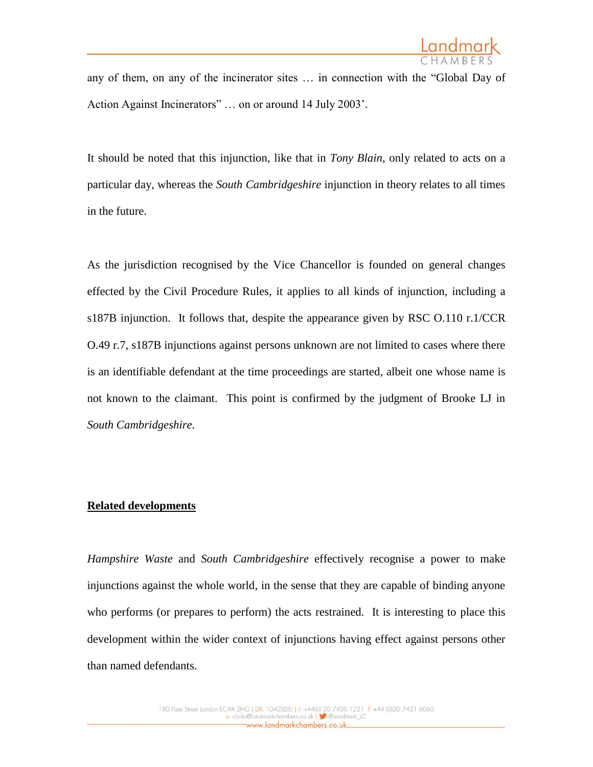any of them, on any of the incinerator sites … in connection with the "Global Day of Action Against Incinerators" … on or around 14 July 2003'.

It should be noted that this injunction, like that in *Tony Blain*, only related to acts on a particular day, whereas the *South Cambridgeshire* injunction in theory relates to all times in the future.

As the jurisdiction recognised by the Vice Chancellor is founded on general changes effected by the Civil Procedure Rules, it applies to all kinds of injunction, including a s187B injunction. It follows that, despite the appearance given by RSC O.110 r.1/CCR O.49 r.7, s187B injunctions against persons unknown are not limited to cases where there is an identifiable defendant at the time proceedings are started, albeit one whose name is not known to the claimant. This point is confirmed by the judgment of Brooke LJ in *South Cambridgeshire.*

#### **Related developments**

*Hampshire Waste* and *South Cambridgeshire* effectively recognise a power to make injunctions against the whole world, in the sense that they are capable of binding anyone who performs (or prepares to perform) the acts restrained. It is interesting to place this development within the wider context of injunctions having effect against persons other than named defendants.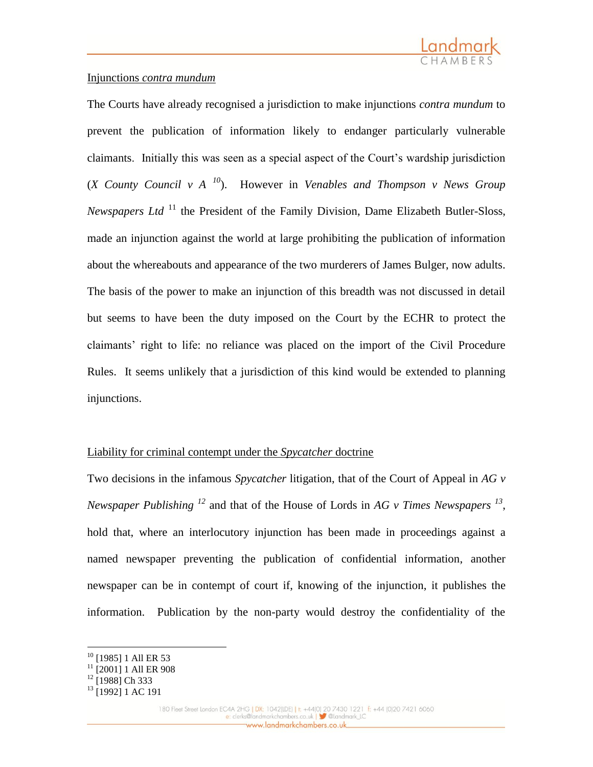

### Injunctions *contra mundum*

The Courts have already recognised a jurisdiction to make injunctions *contra mundum* to prevent the publication of information likely to endanger particularly vulnerable claimants. Initially this was seen as a special aspect of the Court's wardship jurisdiction (*X County Council v A <sup>10</sup>*). However in *Venables and Thompson v News Group Newspapers Ltd*<sup>11</sup> the President of the Family Division, Dame Elizabeth Butler-Sloss, made an injunction against the world at large prohibiting the publication of information about the whereabouts and appearance of the two murderers of James Bulger, now adults. The basis of the power to make an injunction of this breadth was not discussed in detail but seems to have been the duty imposed on the Court by the ECHR to protect the claimants' right to life: no reliance was placed on the import of the Civil Procedure Rules. It seems unlikely that a jurisdiction of this kind would be extended to planning injunctions.

# Liability for criminal contempt under the *Spycatcher* doctrine

Two decisions in the infamous *Spycatcher* litigation, that of the Court of Appeal in *AG v Newspaper Publishing <sup>12</sup>* and that of the House of Lords in *AG v Times Newspapers 13* , hold that, where an interlocutory injunction has been made in proceedings against a named newspaper preventing the publication of confidential information, another newspaper can be in contempt of court if, knowing of the injunction, it publishes the information. Publication by the non-party would destroy the confidentiality of the

<sup>&</sup>lt;sup>10</sup> [1985] 1 All ER 53

<sup>&</sup>lt;sup>11</sup> [2001] 1 All ER 908

 $12$  [1988] Ch 333

<sup>&</sup>lt;sup>13</sup> [1992] 1 AC 191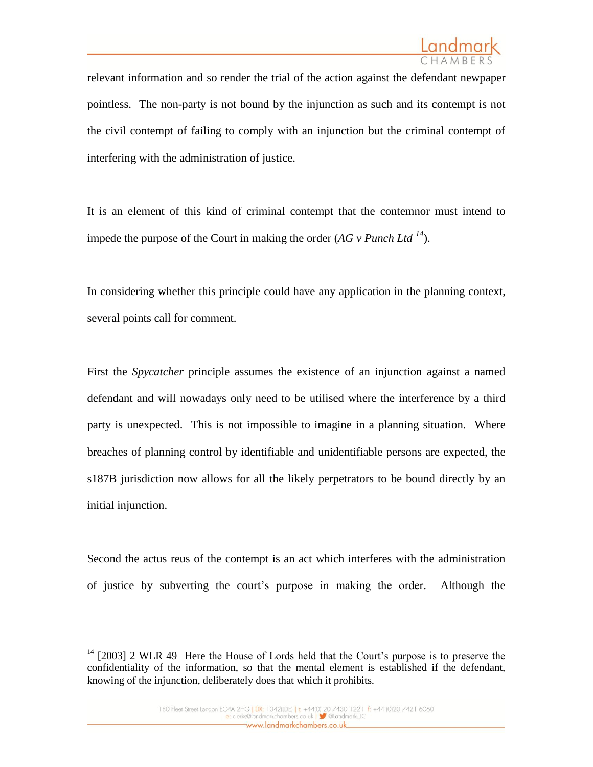relevant information and so render the trial of the action against the defendant newpaper pointless. The non-party is not bound by the injunction as such and its contempt is not the civil contempt of failing to comply with an injunction but the criminal contempt of interfering with the administration of justice.

It is an element of this kind of criminal contempt that the contemnor must intend to impede the purpose of the Court in making the order  $(AG \, v \, Punch \, Ltd \, <sup>14</sup>).$ 

In considering whether this principle could have any application in the planning context, several points call for comment.

First the *Spycatcher* principle assumes the existence of an injunction against a named defendant and will nowadays only need to be utilised where the interference by a third party is unexpected. This is not impossible to imagine in a planning situation. Where breaches of planning control by identifiable and unidentifiable persons are expected, the s187B jurisdiction now allows for all the likely perpetrators to be bound directly by an initial injunction.

Second the actus reus of the contempt is an act which interferes with the administration of justice by subverting the court's purpose in making the order. Although the

<sup>&</sup>lt;sup>14</sup> [2003] 2 WLR 49 Here the House of Lords held that the Court's purpose is to preserve the confidentiality of the information, so that the mental element is established if the defendant, knowing of the injunction, deliberately does that which it prohibits.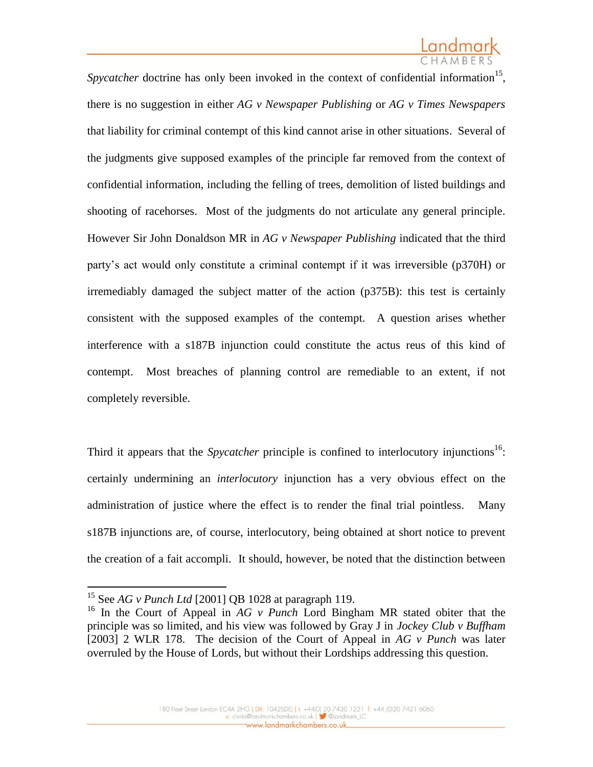Spycatcher doctrine has only been invoked in the context of confidential information<sup>15</sup>, there is no suggestion in either *AG v Newspaper Publishing* or *AG v Times Newspapers* that liability for criminal contempt of this kind cannot arise in other situations. Several of the judgments give supposed examples of the principle far removed from the context of confidential information, including the felling of trees, demolition of listed buildings and shooting of racehorses. Most of the judgments do not articulate any general principle. However Sir John Donaldson MR in *AG v Newspaper Publishing* indicated that the third party's act would only constitute a criminal contempt if it was irreversible (p370H) or irremediably damaged the subject matter of the action (p375B): this test is certainly consistent with the supposed examples of the contempt. A question arises whether interference with a s187B injunction could constitute the actus reus of this kind of contempt. Most breaches of planning control are remediable to an extent, if not completely reversible.

Third it appears that the *Spycatcher* principle is confined to interlocutory injunctions<sup>16</sup>: certainly undermining an *interlocutory* injunction has a very obvious effect on the administration of justice where the effect is to render the final trial pointless. Many s187B injunctions are, of course, interlocutory, being obtained at short notice to prevent the creation of a fait accompli. It should, however, be noted that the distinction between

<sup>15</sup> See *AG v Punch Ltd* [2001] QB 1028 at paragraph 119.

<sup>16</sup> In the Court of Appeal in *AG v Punch* Lord Bingham MR stated obiter that the principle was so limited, and his view was followed by Gray J in *Jockey Club v Buffham* [2003] 2 WLR 178. The decision of the Court of Appeal in *AG v Punch* was later overruled by the House of Lords, but without their Lordships addressing this question.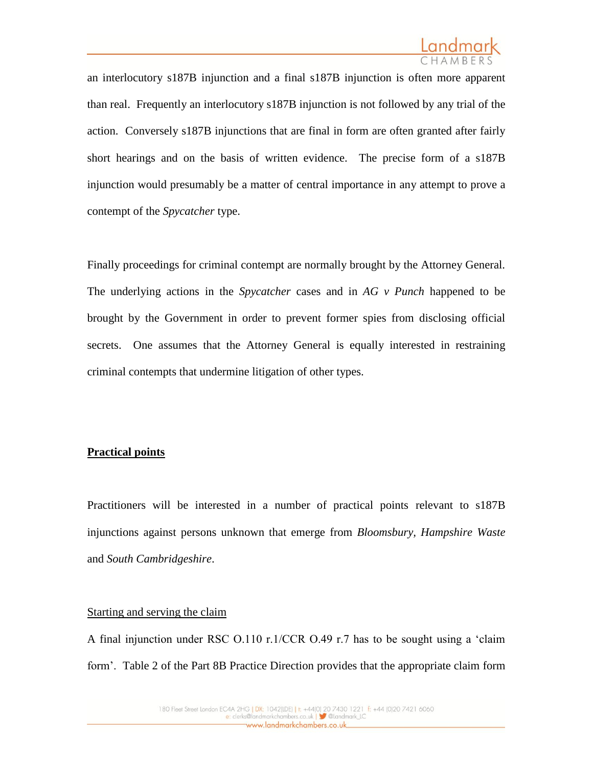

an interlocutory s187B injunction and a final s187B injunction is often more apparent than real. Frequently an interlocutory s187B injunction is not followed by any trial of the action. Conversely s187B injunctions that are final in form are often granted after fairly short hearings and on the basis of written evidence. The precise form of a s187B injunction would presumably be a matter of central importance in any attempt to prove a contempt of the *Spycatcher* type.

Finally proceedings for criminal contempt are normally brought by the Attorney General. The underlying actions in the *Spycatcher* cases and in *AG v Punch* happened to be brought by the Government in order to prevent former spies from disclosing official secrets. One assumes that the Attorney General is equally interested in restraining criminal contempts that undermine litigation of other types.

#### **Practical points**

Practitioners will be interested in a number of practical points relevant to s187B injunctions against persons unknown that emerge from *Bloomsbury, Hampshire Waste*  and *South Cambridgeshire*.

### Starting and serving the claim

A final injunction under RSC O.110 r.1/CCR O.49 r.7 has to be sought using a 'claim form'. Table 2 of the Part 8B Practice Direction provides that the appropriate claim form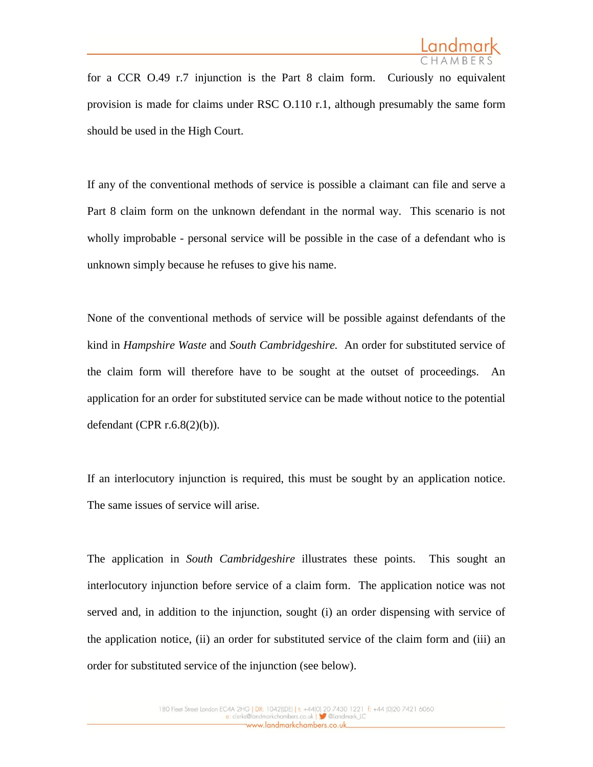

for a CCR O.49 r.7 injunction is the Part 8 claim form. Curiously no equivalent provision is made for claims under RSC O.110 r.1, although presumably the same form should be used in the High Court.

If any of the conventional methods of service is possible a claimant can file and serve a Part 8 claim form on the unknown defendant in the normal way. This scenario is not wholly improbable - personal service will be possible in the case of a defendant who is unknown simply because he refuses to give his name.

None of the conventional methods of service will be possible against defendants of the kind in *Hampshire Waste* and *South Cambridgeshire.* An order for substituted service of the claim form will therefore have to be sought at the outset of proceedings. An application for an order for substituted service can be made without notice to the potential defendant (CPR r.6.8(2)(b)).

If an interlocutory injunction is required, this must be sought by an application notice. The same issues of service will arise.

The application in *South Cambridgeshire* illustrates these points. This sought an interlocutory injunction before service of a claim form. The application notice was not served and, in addition to the injunction, sought (i) an order dispensing with service of the application notice, (ii) an order for substituted service of the claim form and (iii) an order for substituted service of the injunction (see below).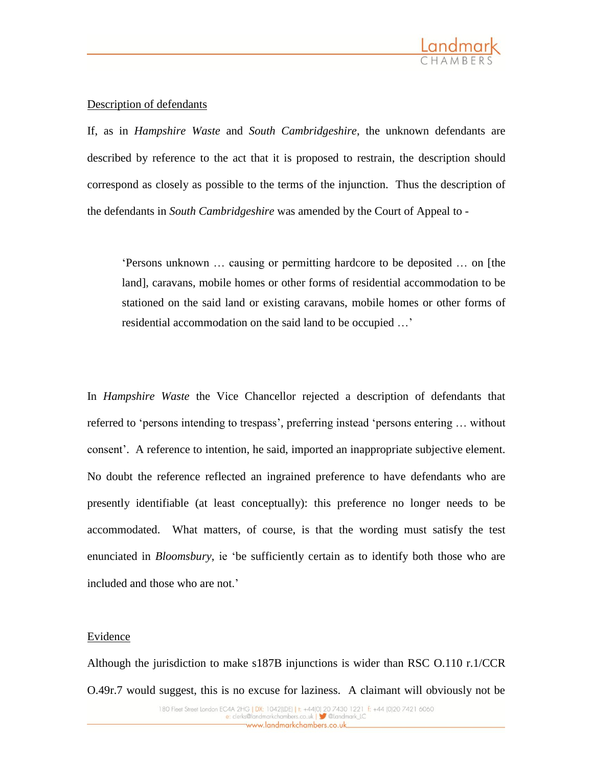

# Description of defendants

If, as in *Hampshire Waste* and *South Cambridgeshire*, the unknown defendants are described by reference to the act that it is proposed to restrain, the description should correspond as closely as possible to the terms of the injunction. Thus the description of the defendants in *South Cambridgeshire* was amended by the Court of Appeal to -

'Persons unknown … causing or permitting hardcore to be deposited … on [the land], caravans, mobile homes or other forms of residential accommodation to be stationed on the said land or existing caravans, mobile homes or other forms of residential accommodation on the said land to be occupied …'

In *Hampshire Waste* the Vice Chancellor rejected a description of defendants that referred to 'persons intending to trespass', preferring instead 'persons entering … without consent'. A reference to intention, he said, imported an inappropriate subjective element. No doubt the reference reflected an ingrained preference to have defendants who are presently identifiable (at least conceptually): this preference no longer needs to be accommodated. What matters, of course, is that the wording must satisfy the test enunciated in *Bloomsbury*, ie 'be sufficiently certain as to identify both those who are included and those who are not.'

#### **Evidence**

Although the jurisdiction to make s187B injunctions is wider than RSC O.110 r.1/CCR O.49r.7 would suggest, this is no excuse for laziness. A claimant will obviously not be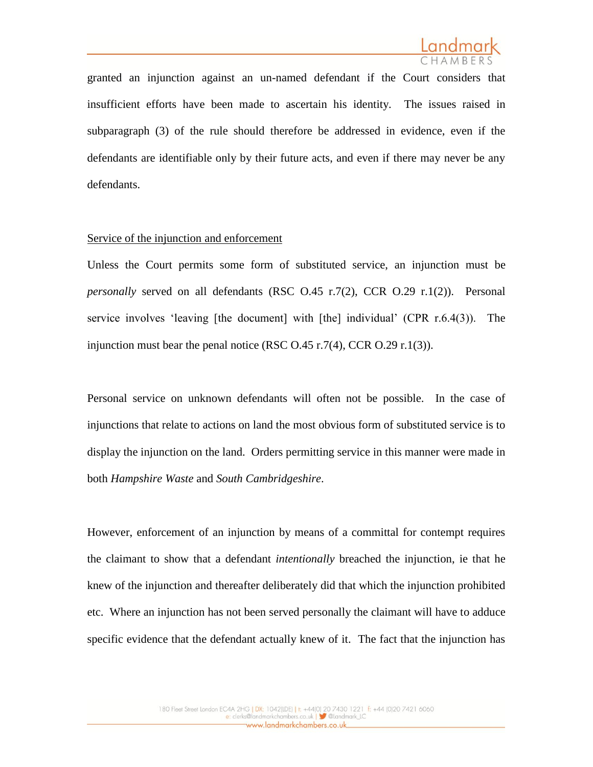

granted an injunction against an un-named defendant if the Court considers that insufficient efforts have been made to ascertain his identity. The issues raised in subparagraph (3) of the rule should therefore be addressed in evidence, even if the defendants are identifiable only by their future acts, and even if there may never be any defendants.

#### Service of the injunction and enforcement

Unless the Court permits some form of substituted service, an injunction must be *personally* served on all defendants (RSC O.45 r.7(2), CCR O.29 r.1(2)). Personal service involves 'leaving [the document] with [the] individual' (CPR r.6.4(3)). The injunction must bear the penal notice (RSC  $O.45$  r.7(4), CCR  $O.29$  r.1(3)).

Personal service on unknown defendants will often not be possible. In the case of injunctions that relate to actions on land the most obvious form of substituted service is to display the injunction on the land. Orders permitting service in this manner were made in both *Hampshire Waste* and *South Cambridgeshire*.

However, enforcement of an injunction by means of a committal for contempt requires the claimant to show that a defendant *intentionally* breached the injunction, ie that he knew of the injunction and thereafter deliberately did that which the injunction prohibited etc. Where an injunction has not been served personally the claimant will have to adduce specific evidence that the defendant actually knew of it. The fact that the injunction has